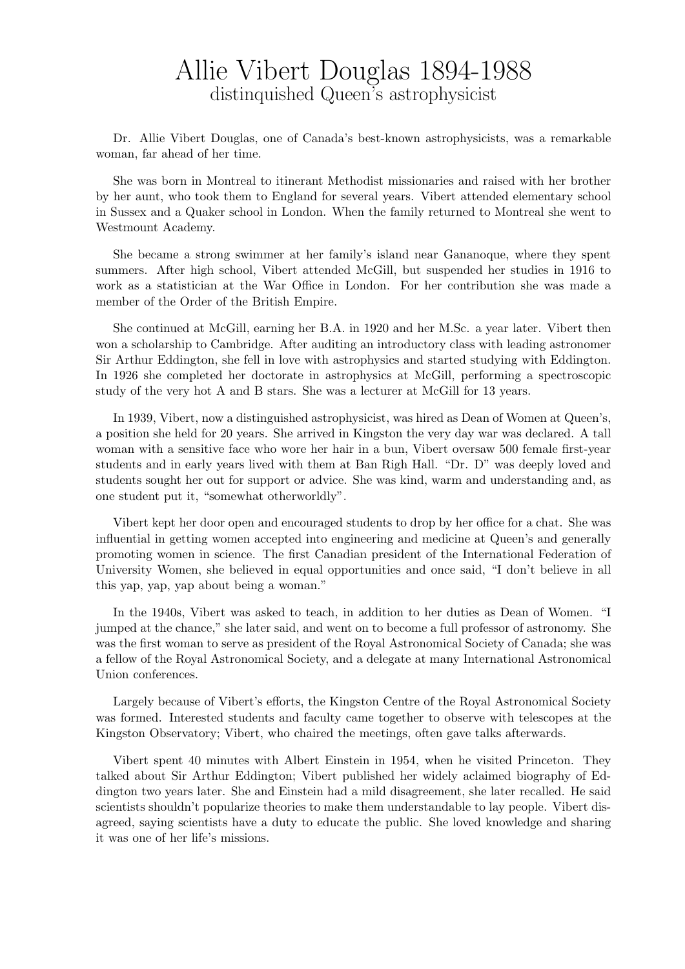## Allie Vibert Douglas 1894-1988 distinquished Queen's astrophysicist

Dr. Allie Vibert Douglas, one of Canada's best-known astrophysicists, was a remarkable woman, far ahead of her time.

She was born in Montreal to itinerant Methodist missionaries and raised with her brother by her aunt, who took them to England for several years. Vibert attended elementary school in Sussex and a Quaker school in London. When the family returned to Montreal she went to Westmount Academy.

She became a strong swimmer at her family's island near Gananoque, where they spent summers. After high school, Vibert attended McGill, but suspended her studies in 1916 to work as a statistician at the War Office in London. For her contribution she was made a member of the Order of the British Empire.

She continued at McGill, earning her B.A. in 1920 and her M.Sc. a year later. Vibert then won a scholarship to Cambridge. After auditing an introductory class with leading astronomer Sir Arthur Eddington, she fell in love with astrophysics and started studying with Eddington. In 1926 she completed her doctorate in astrophysics at McGill, performing a spectroscopic study of the very hot A and B stars. She was a lecturer at McGill for 13 years.

In 1939, Vibert, now a distinguished astrophysicist, was hired as Dean of Women at Queen's, a position she held for 20 years. She arrived in Kingston the very day war was declared. A tall woman with a sensitive face who wore her hair in a bun, Vibert oversaw 500 female first-year students and in early years lived with them at Ban Righ Hall. "Dr. D" was deeply loved and students sought her out for support or advice. She was kind, warm and understanding and, as one student put it, "somewhat otherworldly".

Vibert kept her door open and encouraged students to drop by her office for a chat. She was influential in getting women accepted into engineering and medicine at Queen's and generally promoting women in science. The first Canadian president of the International Federation of University Women, she believed in equal opportunities and once said, "I don't believe in all this yap, yap, yap about being a woman."

In the 1940s, Vibert was asked to teach, in addition to her duties as Dean of Women. "I jumped at the chance," she later said, and went on to become a full professor of astronomy. She was the first woman to serve as president of the Royal Astronomical Society of Canada; she was a fellow of the Royal Astronomical Society, and a delegate at many International Astronomical Union conferences.

Largely because of Vibert's efforts, the Kingston Centre of the Royal Astronomical Society was formed. Interested students and faculty came together to observe with telescopes at the Kingston Observatory; Vibert, who chaired the meetings, often gave talks afterwards.

Vibert spent 40 minutes with Albert Einstein in 1954, when he visited Princeton. They talked about Sir Arthur Eddington; Vibert published her widely aclaimed biography of Eddington two years later. She and Einstein had a mild disagreement, she later recalled. He said scientists shouldn't popularize theories to make them understandable to lay people. Vibert disagreed, saying scientists have a duty to educate the public. She loved knowledge and sharing it was one of her life's missions.